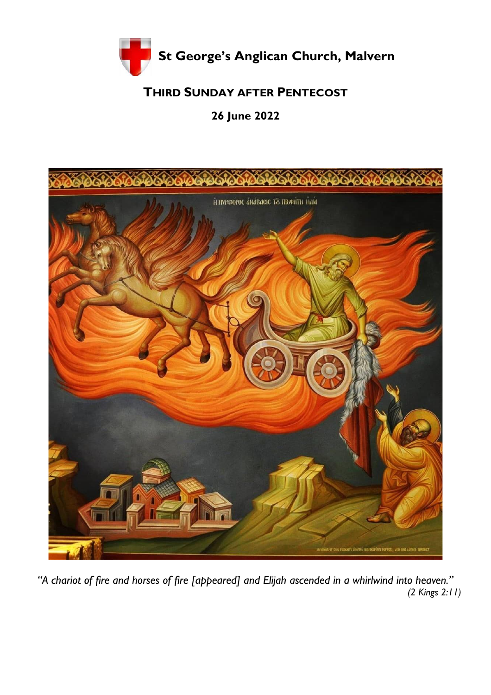

# **THIRD SUNDAY AFTER PENTECOST**

# **26 June 2022**



*"A chariot of fire and horses of fire [appeared] and Elijah ascended in a whirlwind into heaven." (2 Kings 2:11)*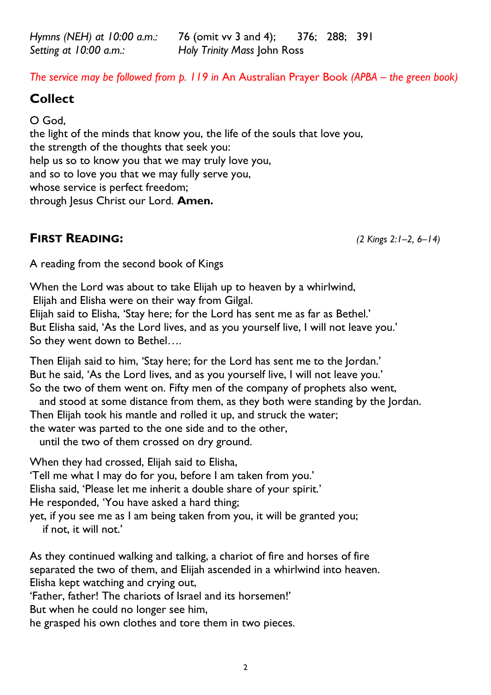*Hymns (NEH) at 10:00 a.m.:* 76 (omit vv 3 and 4); 376; 288; 391 *Setting at 10:00 a.m.: Holy Trinity Mass* John Ross

*The service may be followed from p. 119 in An Australian Prayer Book (APBA – the green book)* 

## **Collect**

O God, the light of the minds that know you, the life of the souls that love you, the strength of the thoughts that seek you: help us so to know you that we may truly love you, and so to love you that we may fully serve you, whose service is perfect freedom; through Jesus Christ our Lord. **Amen.** 

## **FIRST READING:** *(2 Kings 2:1–2, 6–14)*

A reading from the second book of Kings

When the Lord was about to take Elijah up to heaven by a whirlwind, Elijah and Elisha were on their way from Gilgal.

Elijah said to Elisha, 'Stay here; for the Lord has sent me as far as Bethel.' But Elisha said, 'As the Lord lives, and as you yourself live, I will not leave you.' So they went down to Bethel….

Then Elijah said to him, 'Stay here; for the Lord has sent me to the Jordan.' But he said, 'As the Lord lives, and as you yourself live, I will not leave you.' So the two of them went on. Fifty men of the company of prophets also went,

and stood at some distance from them, as they both were standing by the Jordan.

Then Elijah took his mantle and rolled it up, and struck the water;

the water was parted to the one side and to the other,

until the two of them crossed on dry ground.

When they had crossed, Elijah said to Elisha, 'Tell me what I may do for you, before I am taken from you.' Elisha said, 'Please let me inherit a double share of your spirit.' He responded, 'You have asked a hard thing; yet, if you see me as I am being taken from you, it will be granted you; if not, it will not.'

As they continued walking and talking, a chariot of fire and horses of fire separated the two of them, and Elijah ascended in a whirlwind into heaven. Elisha kept watching and crying out,

'Father, father! The chariots of Israel and its horsemen!'

But when he could no longer see him,

he grasped his own clothes and tore them in two pieces.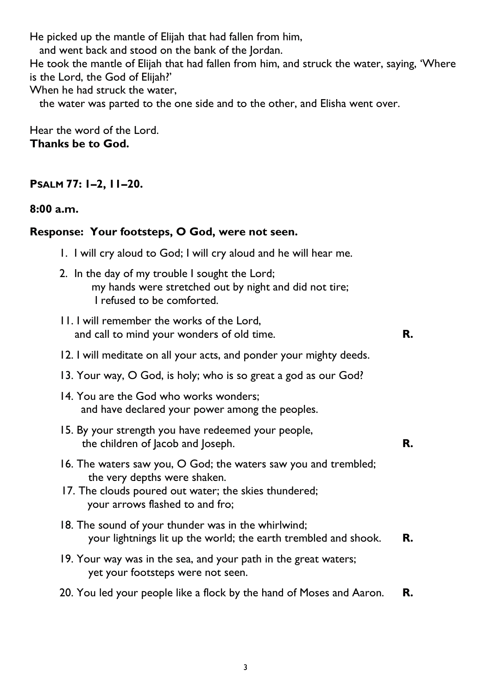He picked up the mantle of Elijah that had fallen from him,

and went back and stood on the bank of the Jordan.

He took the mantle of Elijah that had fallen from him, and struck the water, saying, 'Where is the Lord, the God of Elijah?'

When he had struck the water,

the water was parted to the one side and to the other, and Elisha went over.

Hear the word of the Lord. **Thanks be to God.** 

### **PSALM 77: 1–2, 11–20.**

**8:00 a.m.** 

### **Response: Your footsteps, O God, were not seen.**

- 1. I will cry aloud to God; I will cry aloud and he will hear me.
- 2. In the day of my trouble I sought the Lord; my hands were stretched out by night and did not tire; I refused to be comforted.
- 11. I will remember the works of the Lord, and call to mind your wonders of old time. **R.**

- 12. I will meditate on all your acts, and ponder your mighty deeds.
- 13. Your way, O God, is holy; who is so great a god as our God?
- 14. You are the God who works wonders; and have declared your power among the peoples.
- 15. By your strength you have redeemed your people, the children of Jacob and Joseph. **R.**
- 16. The waters saw you, O God; the waters saw you and trembled; the very depths were shaken.
- 17. The clouds poured out water; the skies thundered; your arrows flashed to and fro;
- 18. The sound of your thunder was in the whirlwind; your lightnings lit up the world; the earth trembled and shook. **R.**
- 19. Your way was in the sea, and your path in the great waters; yet your footsteps were not seen.
- 20. You led your people like a flock by the hand of Moses and Aaron. **R.**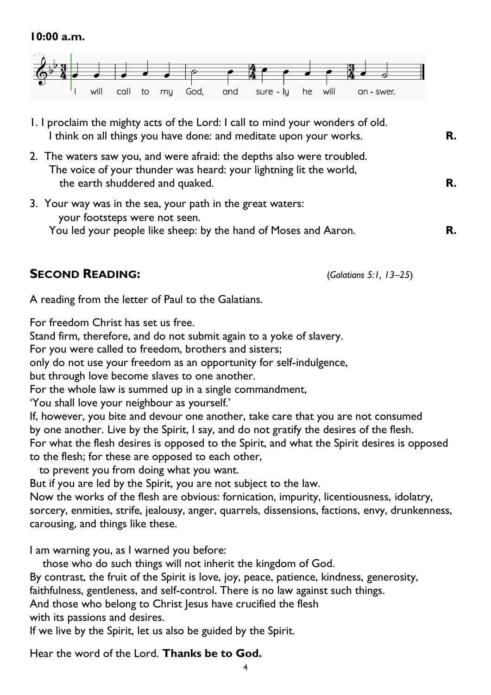

- 1. I proclaim the mighty acts of the Lord: I call to mind your wonders of old. I think on all things you have done: and meditate upon your works. **R.**
- 2. The waters saw you, and were afraid: the depths also were troubled. The voice of your thunder was heard: your lightning lit the world, the earth shuddered and quaked. **R.**
- 3. Your way was in the sea, your path in the great waters: your footsteps were not seen. You led your people like sheep: by the hand of Moses and Aaron. **R.**

## **SECOND READING:** (*Galatians 5:1, 13–25*)

A reading from the letter of Paul to the Galatians.

For freedom Christ has set us free.

Stand firm, therefore, and do not submit again to a yoke of slavery.

For you were called to freedom, brothers and sisters;

only do not use your freedom as an opportunity for self-indulgence,

but through love become slaves to one another.

For the whole law is summed up in a single commandment,

'You shall love your neighbour as yourself.'

If, however, you bite and devour one another, take care that you are not consumed by one another. Live by the Spirit, I say, and do not gratify the desires of the flesh. For what the flesh desires is opposed to the Spirit, and what the Spirit desires is opposed to the flesh; for these are opposed to each other,

to prevent you from doing what you want.

But if you are led by the Spirit, you are not subject to the law.

Now the works of the flesh are obvious: fornication, impurity, licentiousness, idolatry, sorcery, enmities, strife, jealousy, anger, quarrels, dissensions, factions, envy, drunkenness, carousing, and things like these.

I am warning you, as I warned you before:

those who do such things will not inherit the kingdom of God.

By contrast, the fruit of the Spirit is love, joy, peace, patience, kindness, generosity,

faithfulness, gentleness, and self-control. There is no law against such things.

And those who belong to Christ Jesus have crucified the flesh

with its passions and desires.

If we live by the Spirit, let us also be guided by the Spirit.

Hear the word of the Lord. **Thanks be to God.**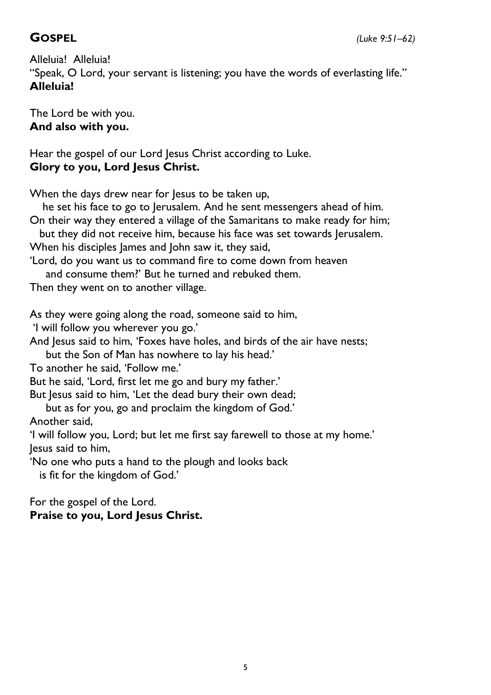Alleluia! Alleluia! "Speak, O Lord, your servant is listening; you have the words of everlasting life." **Alleluia!** 

The Lord be with you. **And also with you.** 

Hear the gospel of our Lord Jesus Christ according to Luke. **Glory to you, Lord Jesus Christ.** 

When the days drew near for Jesus to be taken up,

 he set his face to go to Jerusalem. And he sent messengers ahead of him. On their way they entered a village of the Samaritans to make ready for him;

 but they did not receive him, because his face was set towards Jerusalem. When his disciples James and John saw it, they said,

'Lord, do you want us to command fire to come down from heaven and consume them?' But he turned and rebuked them.

Then they went on to another village.

As they were going along the road, someone said to him,

'I will follow you wherever you go.'

And Jesus said to him, 'Foxes have holes, and birds of the air have nests;

but the Son of Man has nowhere to lay his head.'

To another he said, 'Follow me.'

But he said, 'Lord, first let me go and bury my father.'

But Jesus said to him, 'Let the dead bury their own dead;

 but as for you, go and proclaim the kingdom of God.' Another said,

'I will follow you, Lord; but let me first say farewell to those at my home.' Jesus said to him,

'No one who puts a hand to the plough and looks back

is fit for the kingdom of God.'

#### For the gospel of the Lord. **Praise to you, Lord Jesus Christ.**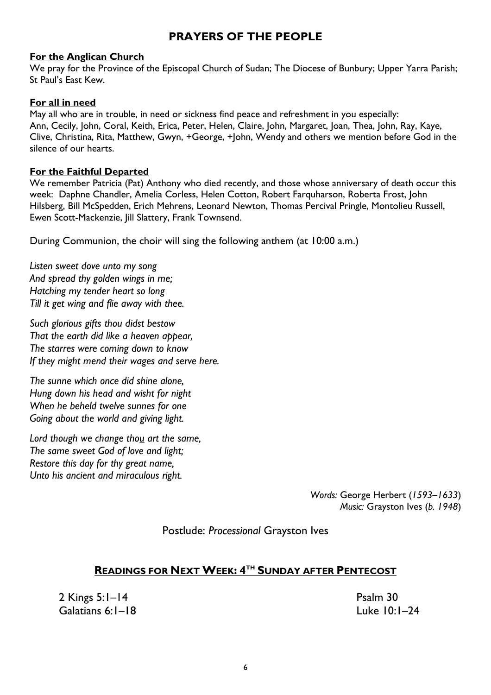### **PRAYERS OF THE PEOPLE**

#### **For the Anglican Church**

We pray for the Province of the Episcopal Church of Sudan; The Diocese of Bunbury; Upper Yarra Parish; St Paul's East Kew.

#### **For all in need**

May all who are in trouble, in need or sickness find peace and refreshment in you especially: Ann, Cecily, John, Coral, Keith, Erica, Peter, Helen, Claire, John, Margaret, Joan, Thea, John, Ray, Kaye, Clive, Christina, Rita, Matthew, Gwyn, +George, +John, Wendy and others we mention before God in the silence of our hearts.

#### **For the Faithful Departed**

We remember Patricia (Pat) Anthony who died recently, and those whose anniversary of death occur this week: Daphne Chandler, Amelia Corless, Helen Cotton, Robert Farquharson, Roberta Frost, John Hilsberg, Bill McSpedden, Erich Mehrens, Leonard Newton, Thomas Percival Pringle, Montolieu Russell, Ewen Scott-Mackenzie, Jill Slattery, Frank Townsend.

During Communion, the choir will sing the following anthem (at 10:00 a.m.)

*Listen sweet dove unto my song And spread thy golden wings in me; Hatching my tender heart so long Till it get wing and flie away with thee.*

*Such glorious gifts thou didst bestow That the earth did like a heaven appear, The starres were coming down to know If they might mend their wages and serve here.*

*The sunne which once did shine alone, Hung down his head and wisht for night When he beheld twelve sunnes for one Going about the world and giving light.*

*Lord though we change thou art the same, The same sweet God of love and light; Restore this day for thy great name, Unto his ancient and miraculous right.*

> *Words:* George Herbert (*1593–1633*) *Music:* Grayston Ives (*b. 1948*)

Postlude: *Processional* Grayston Ives

#### **READINGS FOR NEXT WEEK: 4 TH SUNDAY AFTER PENTECOST**

2 Kings 5:1*–*14 Psalm 30 Galatians 6:1*–*18 Luke 10:1*–*24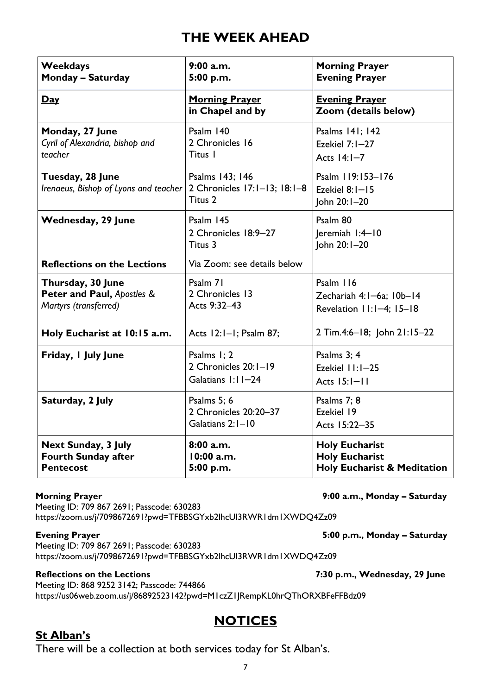# **THE WEEK AHEAD**

| <b>Weekdays</b><br><b>Monday - Saturday</b>                                  | 9:00 a.m.<br>5:00 p.m.                                     | <b>Morning Prayer</b><br><b>Evening Prayer</b>                                           |
|------------------------------------------------------------------------------|------------------------------------------------------------|------------------------------------------------------------------------------------------|
| <u>Day</u>                                                                   | <b>Morning Prayer</b><br>in Chapel and by                  | <b>Evening Prayer</b><br>Zoom (details below)                                            |
| Monday, 27 June<br>Cyril of Alexandria, bishop and<br>teacher                | Psalm 140<br>2 Chronicles 16<br>Titus I                    | Psalms 141; 142<br>Ezekiel $7:1-27$<br>Acts $14:1-7$                                     |
| Tuesday, 28 June<br>Irenaeus, Bishop of Lyons and teacher                    | Psalms 143; 146<br>2 Chronicles 17:1-13; 18:1-8<br>Titus 2 | Psalm 119:153-176<br>Ezekiel 8:1-15<br>John 20:1-20                                      |
| <b>Wednesday, 29 June</b>                                                    | Psalm 145<br>2 Chronicles 18:9-27<br>Titus 3               | Psalm 80<br>Jeremiah I:4-10<br>John 20:1-20                                              |
| <b>Reflections on the Lections</b>                                           | Via Zoom: see details below                                |                                                                                          |
| Thursday, 30 June<br>Peter and Paul, Apostles &<br>Martyrs (transferred)     | Psalm 71<br>2 Chronicles 13<br>Acts 9:32-43                | Psalm 116<br>Zechariah 4:1-6a; 10b-14<br>Revelation 11:1-4; 15-18                        |
| Holy Eucharist at 10:15 a.m.                                                 | Acts 12:1-1; Psalm 87;                                     | 2 Tim.4:6-18; John 21:15-22                                                              |
| Friday, I July June                                                          | Psalms 1; 2<br>2 Chronicles 20:1-19<br>Galatians 1:11-24   | Psalms 3; 4<br>Ezekiel 11:1-25<br>Acts 15:1-11                                           |
| Saturday, 2 July                                                             | Psalms 5; 6<br>2 Chronicles 20:20-37<br>Galatians 2:1-10   | Psalms 7; 8<br>Ezekiel 19<br>Acts 15:22-35                                               |
| <b>Next Sunday, 3 July</b><br><b>Fourth Sunday after</b><br><b>Pentecost</b> | 8:00a.m.<br>10:00 a.m.<br>5:00 p.m.                        | <b>Holy Eucharist</b><br><b>Holy Eucharist</b><br><b>Holy Eucharist &amp; Meditation</b> |

Meeting ID: 709 867 2691; Passcode: 630283 https://zoom.us/j/7098672691?pwd=TFBBSGYxb2lhcUI3RWR1dm1XWDQ4Zz09

Meeting ID: 709 867 2691; Passcode: 630283 <https://zoom.us/j/7098672691?pwd=TFBBSGYxb2lhcUI3RWR1dm1XWDQ4Zz09>

#### **Reflections on the Lections 7:30 p.m., Wednesday, 29 June**

Meeting ID: 868 9252 3142; Passcode: 744866 <https://us06web.zoom.us/j/86892523142?pwd=M1czZ1JRempKL0hrQThORXBFeFFBdz09>

## **NOTICES**

#### **St Alban's**

There will be a collection at both services today for St Alban's.

7

Evening Prayer **Figure 2.1 and 2.5 and 2.5 and 3.00 p.m., Monday - Saturday <b>Figure 2.5**:00 p.m., Monday - Saturday

**Morning Prayer 19:00 a.m., Monday - Saturday 19:00 a.m., Monday - Saturday 19:00 a.m., Monday - Saturday 19:00 a.m.**